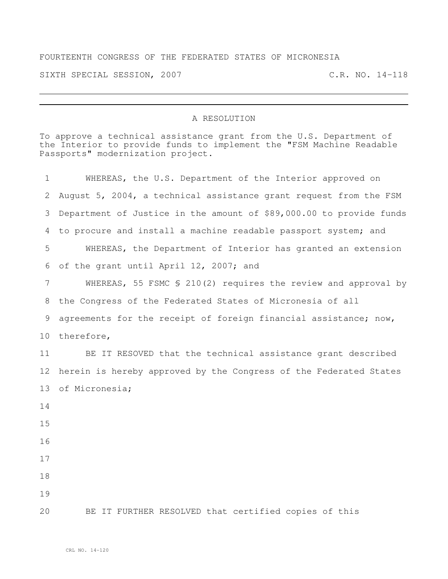## FOURTEENTH CONGRESS OF THE FEDERATED STATES OF MICRONESIA

SIXTH SPECIAL SESSION, 2007 C.R. NO. 14-118

## A RESOLUTION

To approve a technical assistance grant from the U.S. Department of the Interior to provide funds to implement the "FSM Machine Readable Passports" modernization project.

| 1  | WHEREAS, the U.S. Department of the Interior approved on            |
|----|---------------------------------------------------------------------|
| 2  | August 5, 2004, a technical assistance grant request from the FSM   |
| 3  | Department of Justice in the amount of \$89,000.00 to provide funds |
| 4  | to procure and install a machine readable passport system; and      |
| 5  | WHEREAS, the Department of Interior has granted an extension        |
| 6  | of the grant until April 12, 2007; and                              |
| 7  | WHEREAS, 55 FSMC $$ 210(2)$ requires the review and approval by     |
| 8  | the Congress of the Federated States of Micronesia of all           |
| 9  | agreements for the receipt of foreign financial assistance; now,    |
| 10 | therefore,                                                          |
| 11 | BE IT RESOVED that the technical assistance grant described         |
| 12 | herein is hereby approved by the Congress of the Federated States   |
| 13 | of Micronesia;                                                      |
| 14 |                                                                     |
| 15 |                                                                     |
| 16 |                                                                     |
| 17 |                                                                     |
| 18 |                                                                     |
| 19 |                                                                     |
| 20 | BE IT FURTHER RESOLVED that certified copies of this                |